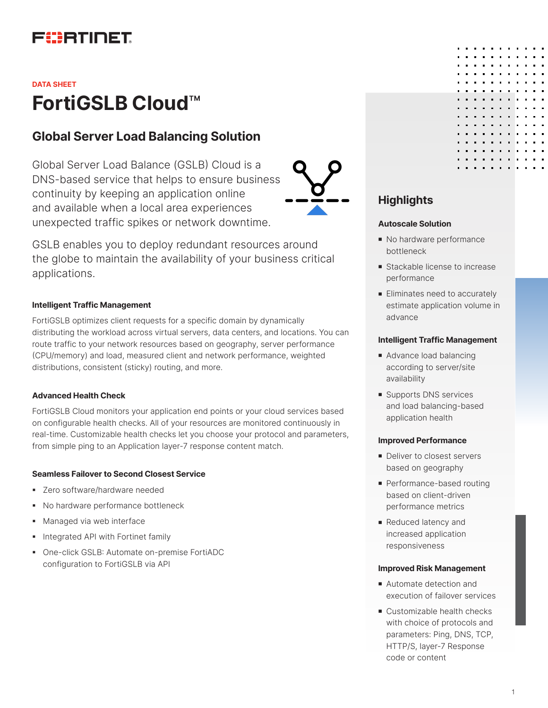# FURTINET

# **FortiGSLB Cloud**™ **DATA SHEET**

## **Global Server Load Balancing Solution**

Global Server Load Balance (GSLB) Cloud is a DNS-based service that helps to ensure business continuity by keeping an application online and available when a local area experiences unexpected traffic spikes or network downtime.



GSLB enables you to deploy redundant resources around the globe to maintain the availability of your business critical applications.

### **Intelligent Traffic Management**

FortiGSLB optimizes client requests for a specific domain by dynamically distributing the workload across virtual servers, data centers, and locations. You can route traffic to your network resources based on geography, server performance (CPU/memory) and load, measured client and network performance, weighted distributions, consistent (sticky) routing, and more.

#### **Advanced Health Check**

FortiGSLB Cloud monitors your application end points or your cloud services based on configurable health checks. All of your resources are monitored continuously in real-time. Customizable health checks let you choose your protocol and parameters, from simple ping to an Application layer-7 response content match.

#### **Seamless Failover to Second Closest Service**

- § Zero software/hardware needed
- § No hardware performance bottleneck
- **Managed via web interface**
- **Integrated API with Fortinet family**
- § One-click GSLB: Automate on-premise FortiADC configuration to FortiGSLB via API

## **Highlights**

#### **Autoscale Solution**

- No hardware performance bottleneck
- **Stackable license to increase** performance
- **Eliminates need to accurately** estimate application volume in advance

#### **Intelligent Traffic Management**

- Advance load balancing according to server/site availability
- **Supports DNS services** and load balancing-based application health

#### **Improved Performance**

- Deliver to closest servers based on geography
- Performance-based routing based on client-driven performance metrics
- **Reduced latency and** increased application responsiveness

#### **Improved Risk Management**

- Automate detection and execution of failover services
- $\blacksquare$  Customizable health checks with choice of protocols and parameters: Ping, DNS, TCP, HTTP/S, layer-7 Response code or content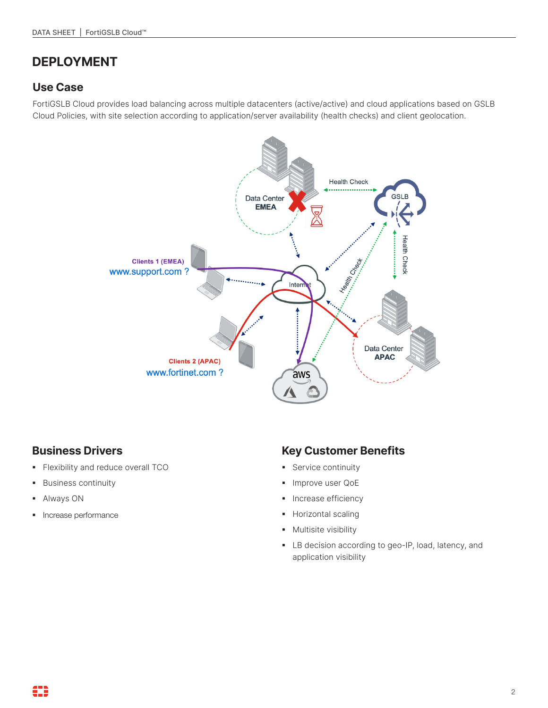## **DEPLOYMENT**

### **Use Case**

FortiGSLB Cloud provides load balancing across multiple datacenters (active/active) and cloud applications based on GSLB Cloud Policies, with site selection according to application/server availability (health checks) and client geolocation.



## **Business Drivers**

- § Flexibility and reduce overall TCO
- § Business continuity
- § Always ON
- § Increase performance

## **Key Customer Benefits**

- § Service continuity
- **Improve user QoE**
- **•** Increase efficiency
- § Horizontal scaling
- **•** Multisite visibility
- § LB decision according to geo-IP, load, latency, and application visibility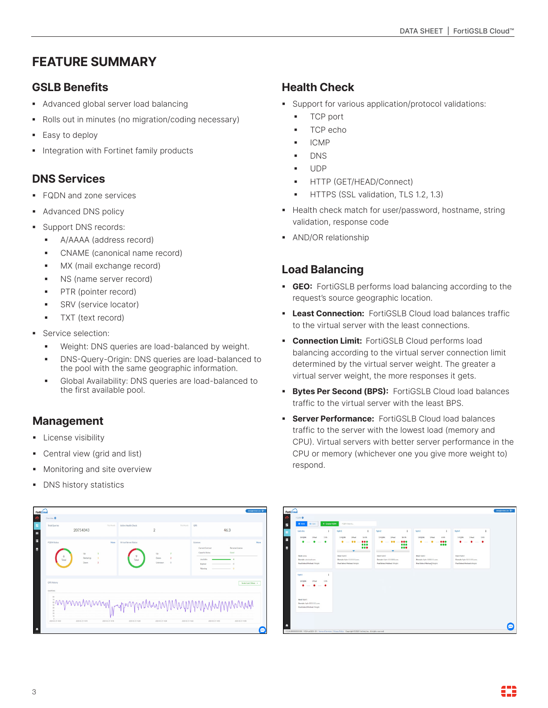# **FEATURE SUMMARY**

## **GSLB Benefits**

- § Advanced global server load balancing
- Rolls out in minutes (no migration/coding necessary)
- Easy to deploy
- Integration with Fortinet family products

## **DNS Services**

- § FQDN and zone services
- § Advanced DNS policy
- § Support DNS records:
	- § A/AAAA (address record)
	- § CNAME (canonical name record)
	- MX (mail exchange record)
	- NS (name server record)
	- § PTR (pointer record)
	- § SRV (service locator)
	- **•** TXT (text record)
- Service selection:
	- Weight: DNS queries are load-balanced by weight.
	- § DNS-Query-Origin: DNS queries are load-balanced to the pool with the same geographic information.
	- § Global Availability: DNS queries are load-balanced to the first available pool.

## **Management**

- **•** License visibility
- Central view (grid and list)
- Monitoring and site overview
- **DNS history statistics**

# **Health Check**

- Support for various application/protocol validations:
	- § TCP port
	- § TCP echo
	- § ICMP
	- § DNS
	- § UDP
	- § HTTP (GET/HEAD/Connect)
	- § HTTPS (SSL validation, TLS 1.2, 1.3)
- Health check match for user/password, hostname, string validation, response code
- § AND/OR relationship

## **Load Balancing**

- § **GEO:** FortiGSLB performs load balancing according to the request's source geographic location.
- **East Connection:** FortiGSLB Cloud load balances traffic to the virtual server with the least connections.
- **Connection Limit: FortiGSLB Cloud performs load** balancing according to the virtual server connection limit determined by the virtual server weight. The greater a virtual server weight, the more responses it gets.
- **Bytes Per Second (BPS):** FortiGSLB Cloud load balances traffic to the virtual server with the least BPS.
- **Server Performance:** FortiGSLB Cloud load balances traffic to the server with the lowest load (memory and CPU). Virtual servers with better server performance in the CPU or memory (whichever one you give more weight to) respond.